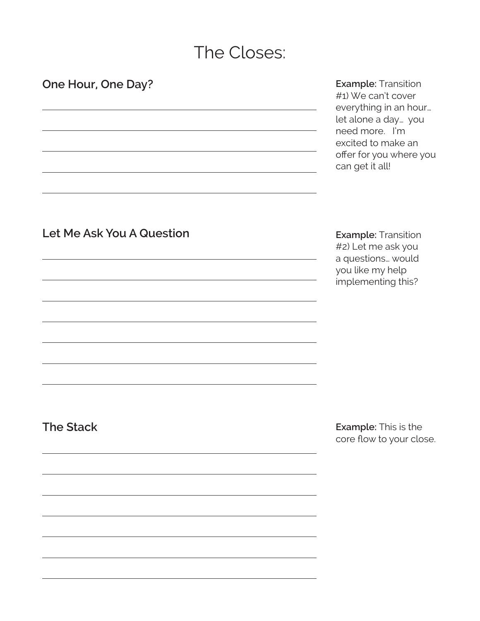# The Closes:

**Example:** Transition #1) We can't cover everything in an hour… let alone a day… you need more. I'm excited to make an offer for you where you can get it all!

#### **Let Me Ask You A Question**

**One Hour, One Day?**

**Example:** Transition

#2) Let me ask you a questions… would you like my help implementing this?

**The Stack**

**Example:** This is the core flow to your close.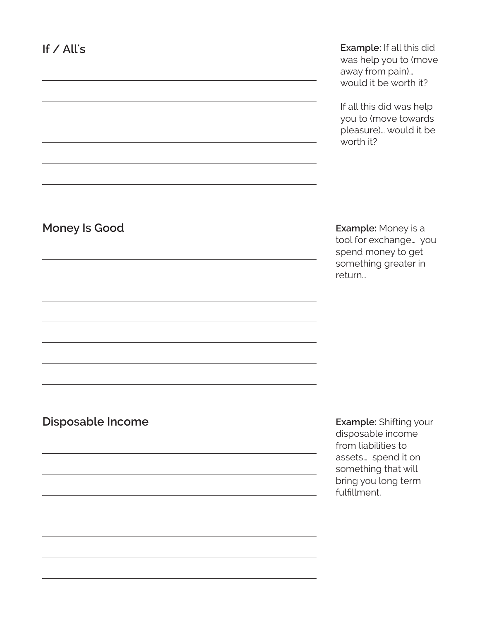**Example:** If all this did was help you to (move away from pain)… would it be worth it?

If all this did was help you to (move towards pleasure)… would it be worth it?

#### **Money Is Good**

**Example:** Money is a tool for exchange… you spend money to get something greater in return…

#### **Disposable Income**

**Example:** Shifting your disposable income from liabilities to assets… spend it on something that will bring you long term fulfillment.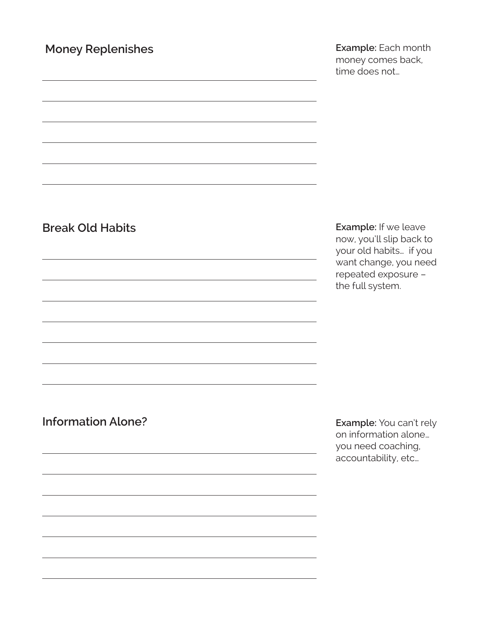## **Money Replenishes**

**Example:** Each month money comes back, time does not…

# **Break Old Habits**

**Example:** If we leave now, you'll slip back to your old habits… if you want change, you need repeated exposure – the full system.

**Information Alone?**

**Example:** You can't rely on information alone… you need coaching, accountability, etc…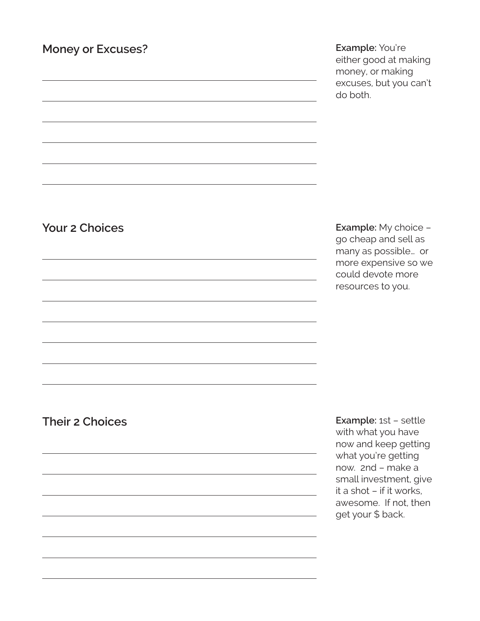## **Money or Excuses?**

**Example:** You're either good at making money, or making excuses, but you can't do both.

# **Your 2 Choices**

**Example:** My choice – go cheap and sell as many as possible… or more expensive so we could devote more resources to you.

#### **Their 2 Choices**

**Example:** 1st – settle with what you have now and keep getting what you're getting now. 2nd – make a small investment, give it a shot – if it works, awesome. If not, then get your \$ back.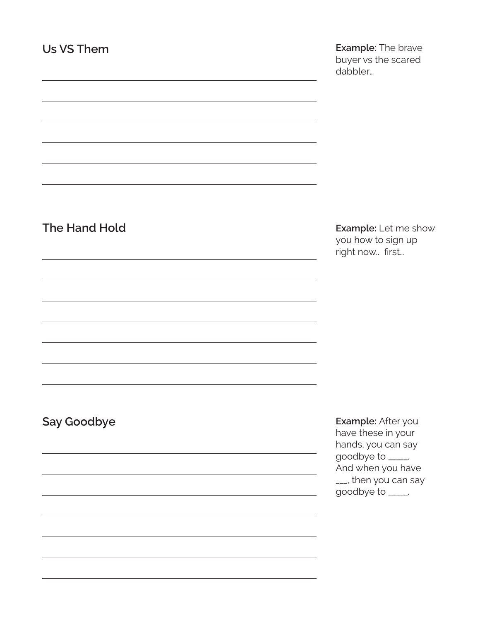**Example:** The brave buyer vs the scared dabbler…

# **The Hand Hold**

**Example:** Let me show you how to sign up right now.. first…

#### **Say Goodbye**

**Example:** After you have these in your hands, you can say goodbye to \_\_\_\_\_. And when you have \_\_\_, then you can say goodbye to \_\_\_\_\_.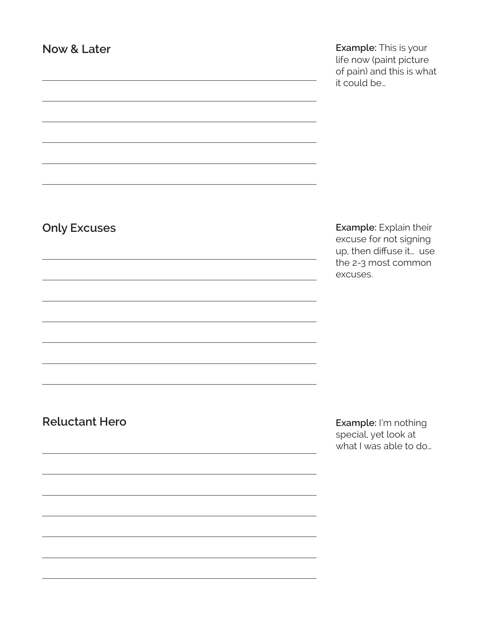**Example:** This is your life now (paint picture of pain) and this is what it could be…

# **Only Excuses**

**Example:** Explain their excuse for not signing up, then diffuse it… use the 2-3 most common excuses.

#### **Reluctant Hero**

**Example:** I'm nothing special, yet look at what I was able to do…